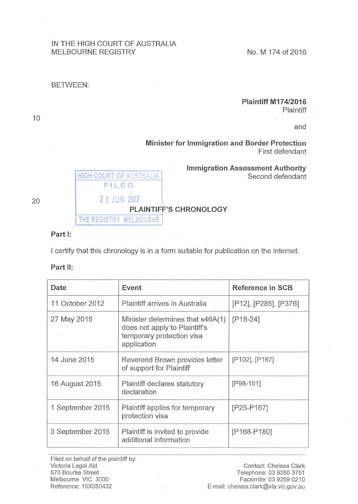#### IN THE HIGH COURT OF AUSTRALIA MELBOURNE REGISTRY NO. M 174 of 2016

#### BETWEEN:

# Plaintiff M174/2016

Plaintiff .

and

## Minister for Immigration and Border Protection First defendant



# Immigration Assessment Authority<br>
FILED Second defendant

PLAINTIFF'S CHRONOLOGY<br>THE REGISTRY MELBOURNE

Part 1:

I certify that this chronology is in a form suitable for publication on the internet.

### Part II:

| Date             | Event                                                                                                         | Reference in SCB      |
|------------------|---------------------------------------------------------------------------------------------------------------|-----------------------|
| 11 October 2012  | Plaintiff arrives in Australia                                                                                | [P12], [P285], [P376] |
| 27 May 2015      | Minister determines that s46A(1)<br>does not apply to Plaintiff's<br>temporary protection visa<br>application | $[P18-24]$            |
| 14 June 2015     | Reverend Brown provides letter<br>of support for Plaintiff                                                    | [P102], [P167]        |
| 16 August 2015   | Plaintiff declares statutory<br>declaration                                                                   | [P98-101]             |
| 1 September 2015 | Plaintiff applies for temporary<br>protection visa                                                            | [P25-P167]            |
| 3 September 2015 | Plaintiff is invited to provide<br>additional information                                                     | [P168-P180]           |

Filed on behalf of the plaintiff by: Victoria Legal Aid 570 Bourke Street Melbourne VIC 3000 Reference: 15X050432

20

10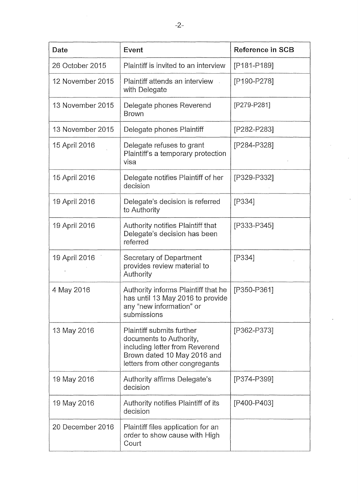| Date             | Event                                                                                                                                                   | <b>Reference in SCB</b> |
|------------------|---------------------------------------------------------------------------------------------------------------------------------------------------------|-------------------------|
| 26 October 2015  | Plaintiff is invited to an interview                                                                                                                    | [P181-P189]             |
| 12 November 2015 | Plaintiff attends an interview<br>with Delegate                                                                                                         | [P190-P278]             |
| 13 November 2015 | Delegate phones Reverend<br><b>Brown</b>                                                                                                                | [P279-P281]             |
| 13 November 2015 | Delegate phones Plaintiff                                                                                                                               | [P282-P283]             |
| 15 April 2016    | Delegate refuses to grant<br>Plaintiff's a temporary protection<br>visa                                                                                 | [P284-P328]             |
| 15 April 2016    | Delegate notifies Plaintiff of her<br>decision                                                                                                          | [P329-P332]             |
| 19 April 2016    | Delegate's decision is referred<br>to Authority                                                                                                         | [P334]                  |
| 19 April 2016    | Authority notifies Plaintiff that<br>Delegate's decision has been<br>referred                                                                           | [P333-P345]             |
| 19 April 2016    | Secretary of Department<br>provides review material to<br>Authority                                                                                     | $[P334]$                |
| 4 May 2016       | Authority informs Plaintiff that he<br>has until 13 May 2016 to provide<br>any "new information" or<br>submissions                                      | [P350-P361]             |
| 13 May 2016      | Plaintiff submits further<br>documents to Authority,<br>including letter from Reverend<br>Brown dated 10 May 2016 and<br>letters from other congregants | [P362-P373]             |
| 19 May 2016      | Authority affirms Delegate's<br>decision                                                                                                                | [P374-P399]             |
| 19 May 2016      | Authority notifies Plaintiff of its<br>decision                                                                                                         | [P400-P403]             |
| 20 December 2016 | Plaintiff files application for an<br>order to show cause with High<br>Court                                                                            |                         |